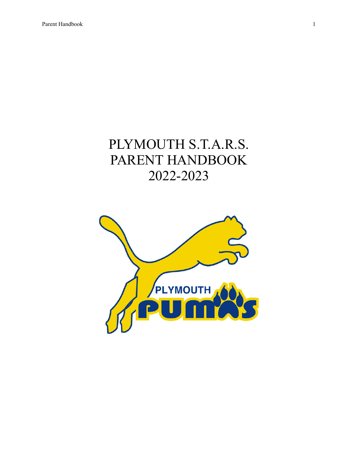# PLYMOUTH S.T.A.R.S. PARENT HANDBOOK 2022-2023

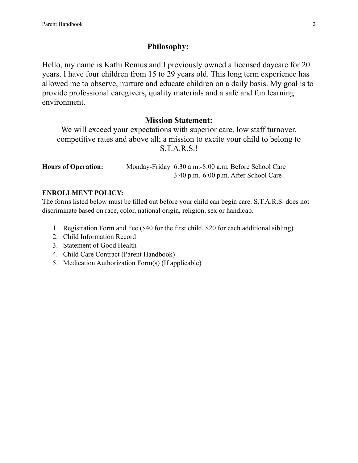# **Philosophy:**

Hello, my name is Kathi Remus and I previously owned a licensed daycare for 20 years. I have four children from 15 to 29 years old. This long term experience has allowed me to observe, nurture and educate children on a daily basis. My goal is to provide professional caregivers, quality materials and a safe and fun learning environment.

# **Mission Statement:**

We will exceed your expectations with superior care, low staff turnover, competitive rates and above all; a mission to excite your child to belong to S.T.A.R.S.!

| <b>Hours of Operation:</b> |                                            | Monday-Friday 6:30 a.m. -8:00 a.m. Before School Care |
|----------------------------|--------------------------------------------|-------------------------------------------------------|
|                            | $3:40$ p.m. $-6:00$ p.m. After School Care |                                                       |

#### **ENROLLMENT POLICY:**

The forms listed below must be filled out before your child can begin care. S.T.A.R.S. does not discriminate based on race, color, national origin, religion, sex or handicap.

- 1. Registration Form and Fee (\$40 for the first child, \$20 for each additional sibling)
- 2. Child Information Record
- 3. Statement of Good Health
- 4. Child Care Contract (Parent Handbook)
- 5. Medication Authorization Form(s) (If applicable)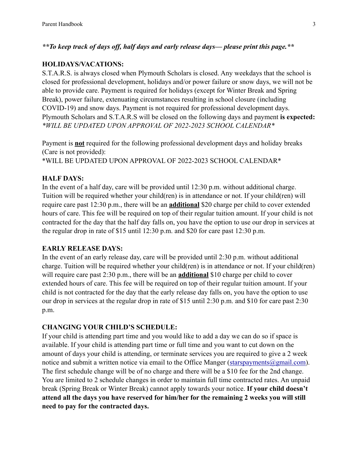# *\*\*To keep track of days off, half days and early release days— please print this page.\*\**

#### **HOLIDAYS/VACATIONS:**

S.T.A.R.S. is always closed when Plymouth Scholars is closed. Any weekdays that the school is closed for professional development, holidays and/or power failure or snow days, we will not be able to provide care. Payment is required for holidays (except for Winter Break and Spring Break), power failure, extenuating circumstances resulting in school closure (including COVID-19) and snow days. Payment is not required for professional development days. Plymouth Scholars and S.T.A.R.S will be closed on the following days and payment **is expected:** *\*WILL BE UPDATED UPON APPROVAL OF 2022-2023 SCHOOL CALENDAR\**

Payment is **not** required for the following professional development days and holiday breaks (Care is not provided): \*WILL BE UPDATED UPON APPROVAL OF 2022-2023 SCHOOL CALENDAR\*

#### **HALF DAYS:**

In the event of a half day, care will be provided until 12:30 p.m. without additional charge. Tuition will be required whether your child(ren) is in attendance or not. If your child(ren) will require care past 12:30 p.m., there will be an **additional** \$20 charge per child to cover extended hours of care. This fee will be required on top of their regular tuition amount. If your child is not contracted for the day that the half day falls on, you have the option to use our drop in services at the regular drop in rate of \$15 until 12:30 p.m. and \$20 for care past 12:30 p.m.

#### **EARLY RELEASE DAYS:**

In the event of an early release day, care will be provided until 2:30 p.m. without additional charge. Tuition will be required whether your child(ren) is in attendance or not. If your child(ren) will require care past 2:30 p.m., there will be an **additional** \$10 charge per child to cover extended hours of care. This fee will be required on top of their regular tuition amount. If your child is not contracted for the day that the early release day falls on, you have the option to use our drop in services at the regular drop in rate of \$15 until 2:30 p.m. and \$10 for care past 2:30 p.m.

#### **CHANGING YOUR CHILD'S SCHEDULE:**

If your child is attending part time and you would like to add a day we can do so if space is available. If your child is attending part time or full time and you want to cut down on the amount of days your child is attending, or terminate services you are required to give a 2 week notice and submit a written notice via email to the Office Manger (starspayments  $@g$  mail.com). The first schedule change will be of no charge and there will be a \$10 fee for the 2nd change. You are limited to 2 schedule changes in order to maintain full time contracted rates. An unpaid break (Spring Break or Winter Break) cannot apply towards your notice. **If your child doesn't attend all the days you have reserved for him/her for the remaining 2 weeks you will still need to pay for the contracted days.**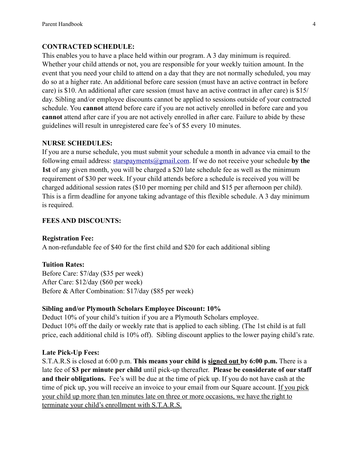#### **CONTRACTED SCHEDULE:**

This enables you to have a place held within our program. A 3 day minimum is required. Whether your child attends or not, you are responsible for your weekly tuition amount. In the event that you need your child to attend on a day that they are not normally scheduled, you may do so at a higher rate. An additional before care session (must have an active contract in before care) is \$10. An additional after care session (must have an active contract in after care) is \$15/ day. Sibling and/or employee discounts cannot be applied to sessions outside of your contracted schedule. You **cannot** attend before care if you are not actively enrolled in before care and you **cannot** attend after care if you are not actively enrolled in after care. Failure to abide by these guidelines will result in unregistered care fee's of \$5 every 10 minutes.

#### **NURSE SCHEDULES:**

If you are a nurse schedule, you must submit your schedule a month in advance via email to the following email address: [starspayments@gmail.com.](mailto:starspayments@gmail.com) If we do not receive your schedule by the **1st** of any given month, you will be charged a \$20 late schedule fee as well as the minimum requirement of \$30 per week. If your child attends before a schedule is received you will be charged additional session rates (\$10 per morning per child and \$15 per afternoon per child). This is a firm deadline for anyone taking advantage of this flexible schedule. A 3 day minimum is required.

#### **FEES AND DISCOUNTS:**

#### **Registration Fee:**

A non-refundable fee of \$40 for the first child and \$20 for each additional sibling

#### **Tuition Rates:**

Before Care: \$7/day (\$35 per week) After Care: \$12/day (\$60 per week) Before & After Combination: \$17/day (\$85 per week)

#### **Sibling and/or Plymouth Scholars Employee Discount: 10%**

Deduct 10% of your child's tuition if you are a Plymouth Scholars employee. Deduct 10% off the daily or weekly rate that is applied to each sibling. (The 1st child is at full price, each additional child is 10% off). Sibling discount applies to the lower paying child's rate.

#### **Late Pick-Up Fees:**

S.T.A.R.S is closed at 6:00 p.m. **This means your child is signed out by 6:00 p.m.** There is a late fee of **\$3 per minute per child** until pick-up thereafter. **Please be considerate of our staff and their obligations.** Fee's will be due at the time of pick up. If you do not have cash at the time of pick up, you will receive an invoice to your email from our Square account. If you pick your child up more than ten minutes late on three or more occasions, we have the right to terminate your child's enrollment with S.T.A.R.S.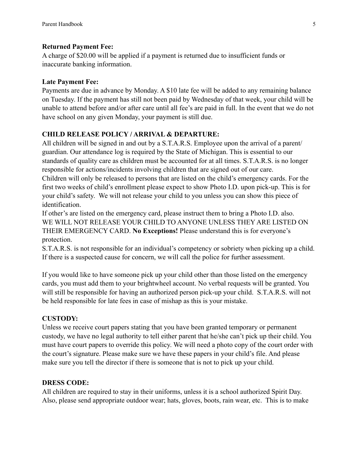#### **Returned Payment Fee:**

A charge of \$20.00 will be applied if a payment is returned due to insufficient funds or inaccurate banking information.

#### **Late Payment Fee:**

Payments are due in advance by Monday. A \$10 late fee will be added to any remaining balance on Tuesday. If the payment has still not been paid by Wednesday of that week, your child will be unable to attend before and/or after care until all fee's are paid in full. In the event that we do not have school on any given Monday, your payment is still due.

# **CHILD RELEASE POLICY / ARRIVAL & DEPARTURE:**

All children will be signed in and out by a S.T.A.R.S. Employee upon the arrival of a parent/ guardian. Our attendance log is required by the State of Michigan. This is essential to our standards of quality care as children must be accounted for at all times. S.T.A.R.S. is no longer responsible for actions/incidents involving children that are signed out of our care.

Children will only be released to persons that are listed on the child's emergency cards. For the first two weeks of child's enrollment please expect to show Photo I.D. upon pick-up. This is for your child's safety. We will not release your child to you unless you can show this piece of identification.

If other's are listed on the emergency card, please instruct them to bring a Photo I.D. also. WE WILL NOT RELEASE YOUR CHILD TO ANYONE UNLESS THEY ARE LISTED ON THEIR EMERGENCY CARD. **No Exceptions!** Please understand this is for everyone's protection.

S.T.A.R.S. is not responsible for an individual's competency or sobriety when picking up a child. If there is a suspected cause for concern, we will call the police for further assessment.

If you would like to have someone pick up your child other than those listed on the emergency cards, you must add them to your brightwheel account. No verbal requests will be granted. You will still be responsible for having an authorized person pick-up your child. S.T.A.R.S. will not be held responsible for late fees in case of mishap as this is your mistake.

# **CUSTODY:**

Unless we receive court papers stating that you have been granted temporary or permanent custody, we have no legal authority to tell either parent that he/she can't pick up their child. You must have court papers to override this policy. We will need a photo copy of the court order with the court's signature. Please make sure we have these papers in your child's file. And please make sure you tell the director if there is someone that is not to pick up your child.

# **DRESS CODE:**

All children are required to stay in their uniforms, unless it is a school authorized Spirit Day. Also, please send appropriate outdoor wear; hats, gloves, boots, rain wear, etc. This is to make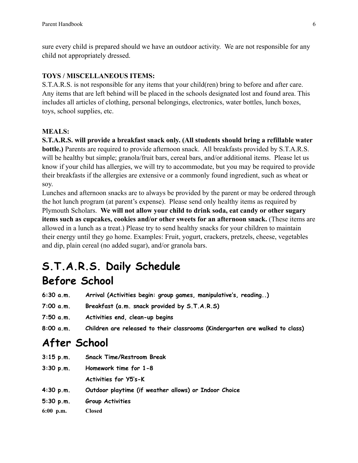sure every child is prepared should we have an outdoor activity. We are not responsible for any child not appropriately dressed.

# **TOYS / MISCELLANEOUS ITEMS:**

S.T.A.R.S. is not responsible for any items that your child(ren) bring to before and after care. Any items that are left behind will be placed in the schools designated lost and found area. This includes all articles of clothing, personal belongings, electronics, water bottles, lunch boxes, toys, school supplies, etc.

# **MEALS:**

**S.T.A.R.S. will provide a breakfast snack only. (All students should bring a refillable water bottle.)** Parents are required to provide afternoon snack. All breakfasts provided by S.T.A.R.S. will be healthy but simple; granola/fruit bars, cereal bars, and/or additional items. Please let us know if your child has allergies, we will try to accommodate, but you may be required to provide their breakfasts if the allergies are extensive or a commonly found ingredient, such as wheat or soy.

Lunches and afternoon snacks are to always be provided by the parent or may be ordered through the hot lunch program (at parent's expense). Please send only healthy items as required by Plymouth Scholars. **We will not allow your child to drink soda, eat candy or other sugary items such as cupcakes, cookies and/or other sweets for an afternoon snack.** (These items are allowed in a lunch as a treat.) Please try to send healthy snacks for your children to maintain their energy until they go home. Examples: Fruit, yogurt, crackers, pretzels, cheese, vegetables and dip, plain cereal (no added sugar), and/or granola bars.

# **S.T.A.R.S. Daily Schedule Before School**

| 6:30a.m.  | Arrival (Activities begin: group games, manipulative's, reading) |
|-----------|------------------------------------------------------------------|
| 7:00 a.m. | Breakfast (a.m. snack provided by S.T.A.R.S)                     |

- **7:50 a.m. Activities end, clean-up begins**
- **8:00 a.m. Children are released to their classrooms (Kindergarten are walked to class)**

# **After School**

- **3:15 p.m. Snack Time/Restroom Break**
- **3:30 p.m. Homework time for 1-8 Activities for Y5's-K 4:30 p.m. Outdoor playtime (if weather allows) or Indoor Choice 5:30 p.m. Group Activities 6:00 p.m. Closed**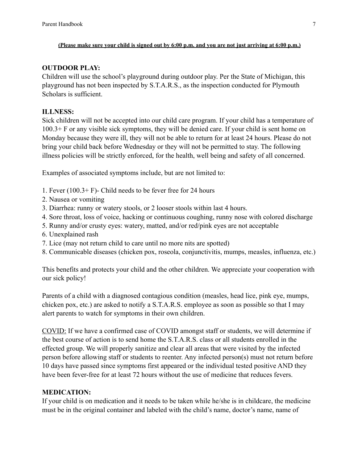#### **(Please make sure your child is signed out by 6:00 p.m. and you are not just arriving at 6:00 p.m.)**

#### **OUTDOOR PLAY:**

Children will use the school's playground during outdoor play. Per the State of Michigan, this playground has not been inspected by S.T.A.R.S., as the inspection conducted for Plymouth Scholars is sufficient.

# **ILLNESS:**

Sick children will not be accepted into our child care program. If your child has a temperature of 100.3+ F or any visible sick symptoms, they will be denied care. If your child is sent home on Monday because they were ill, they will not be able to return for at least 24 hours. Please do not bring your child back before Wednesday or they will not be permitted to stay. The following illness policies will be strictly enforced, for the health, well being and safety of all concerned.

Examples of associated symptoms include, but are not limited to:

- 1. Fever (100.3+ F)- Child needs to be fever free for 24 hours
- 2. Nausea or vomiting
- 3. Diarrhea: runny or watery stools, or 2 looser stools within last 4 hours.
- 4. Sore throat, loss of voice, hacking or continuous coughing, runny nose with colored discharge
- 5. Runny and/or crusty eyes: watery, matted, and/or red/pink eyes are not acceptable
- 6. Unexplained rash
- 7. Lice (may not return child to care until no more nits are spotted)
- 8. Communicable diseases (chicken pox, roseola, conjunctivitis, mumps, measles, influenza, etc.)

This benefits and protects your child and the other children. We appreciate your cooperation with our sick policy!

Parents of a child with a diagnosed contagious condition (measles, head lice, pink eye, mumps, chicken pox, etc.) are asked to notify a S.T.A.R.S. employee as soon as possible so that I may alert parents to watch for symptoms in their own children.

COVID: If we have a confirmed case of COVID amongst staff or students, we will determine if the best course of action is to send home the S.T.A.R.S. class or all students enrolled in the effected group. We will properly sanitize and clear all areas that were visited by the infected person before allowing staff or students to reenter. Any infected person(s) must not return before 10 days have passed since symptoms first appeared or the individual tested positive AND they have been fever-free for at least 72 hours without the use of medicine that reduces fevers.

# **MEDICATION:**

If your child is on medication and it needs to be taken while he/she is in childcare, the medicine must be in the original container and labeled with the child's name, doctor's name, name of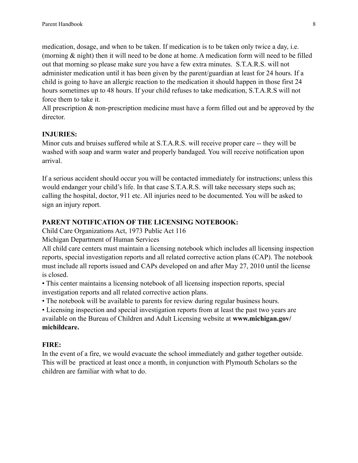medication, dosage, and when to be taken. If medication is to be taken only twice a day, i.e. (morning & night) then it will need to be done at home. A medication form will need to be filled out that morning so please make sure you have a few extra minutes. S.T.A.R.S. will not administer medication until it has been given by the parent/guardian at least for 24 hours. If a child is going to have an allergic reaction to the medication it should happen in those first 24 hours sometimes up to 48 hours. If your child refuses to take medication, S.T.A.R.S will not force them to take it.

All prescription & non-prescription medicine must have a form filled out and be approved by the director.

#### **INJURIES:**

Minor cuts and bruises suffered while at S.T.A.R.S. will receive proper care -- they will be washed with soap and warm water and properly bandaged. You will receive notification upon arrival.

If a serious accident should occur you will be contacted immediately for instructions; unless this would endanger your child's life. In that case S.T.A.R.S. will take necessary steps such as; calling the hospital, doctor, 911 etc. All injuries need to be documented. You will be asked to sign an injury report.

#### **PARENT NOTIFICATION OF THE LICENSING NOTEBOOK:**

Child Care Organizations Act, 1973 Public Act 116

Michigan Department of Human Services

All child care centers must maintain a licensing notebook which includes all licensing inspection reports, special investigation reports and all related corrective action plans (CAP). The notebook must include all reports issued and CAPs developed on and after May 27, 2010 until the license is closed.

• This center maintains a licensing notebook of all licensing inspection reports, special investigation reports and all related corrective action plans.

• The notebook will be available to parents for review during regular business hours.

• Licensing inspection and special investigation reports from at least the past two years are available on the Bureau of Children and Adult Licensing website at **www.michigan.gov/ michildcare.**

# **FIRE:**

In the event of a fire, we would evacuate the school immediately and gather together outside. This will be practiced at least once a month, in conjunction with Plymouth Scholars so the children are familiar with what to do.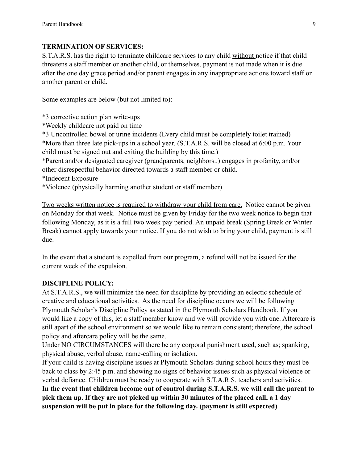# **TERMINATION OF SERVICES:**

S.T.A.R.S. has the right to terminate childcare services to any child without notice if that child threatens a staff member or another child, or themselves, payment is not made when it is due after the one day grace period and/or parent engages in any inappropriate actions toward staff or another parent or child.

Some examples are below (but not limited to):

\*3 corrective action plan write-ups

\*Weekly childcare not paid on time

\*3 Uncontrolled bowel or urine incidents (Every child must be completely toilet trained) \*More than three late pick-ups in a school year. (S.T.A.R.S. will be closed at 6:00 p.m. Your child must be signed out and exiting the building by this time.)

\*Parent and/or designated caregiver (grandparents, neighbors..) engages in profanity, and/or other disrespectful behavior directed towards a staff member or child.

\*Indecent Exposure

\*Violence (physically harming another student or staff member)

Two weeks written notice is required to withdraw your child from care. Notice cannot be given on Monday for that week. Notice must be given by Friday for the two week notice to begin that following Monday, as it is a full two week pay period. An unpaid break (Spring Break or Winter Break) cannot apply towards your notice. If you do not wish to bring your child, payment is still due.

In the event that a student is expelled from our program, a refund will not be issued for the current week of the expulsion.

# **DISCIPLINE POLICY:**

At S.T.A.R.S., we will minimize the need for discipline by providing an eclectic schedule of creative and educational activities. As the need for discipline occurs we will be following Plymouth Scholar's Discipline Policy as stated in the Plymouth Scholars Handbook. If you would like a copy of this, let a staff member know and we will provide you with one. Aftercare is still apart of the school environment so we would like to remain consistent; therefore, the school policy and aftercare policy will be the same.

Under NO CIRCUMSTANCES will there be any corporal punishment used, such as; spanking, physical abuse, verbal abuse, name-calling or isolation.

If your child is having discipline issues at Plymouth Scholars during school hours they must be back to class by 2:45 p.m. and showing no signs of behavior issues such as physical violence or verbal defiance. Children must be ready to cooperate with S.T.A.R.S. teachers and activities. **In the event that children become out of control during S.T.A.R.S. we will call the parent to pick them up. If they are not picked up within 30 minutes of the placed call, a 1 day suspension will be put in place for the following day. (payment is still expected)**